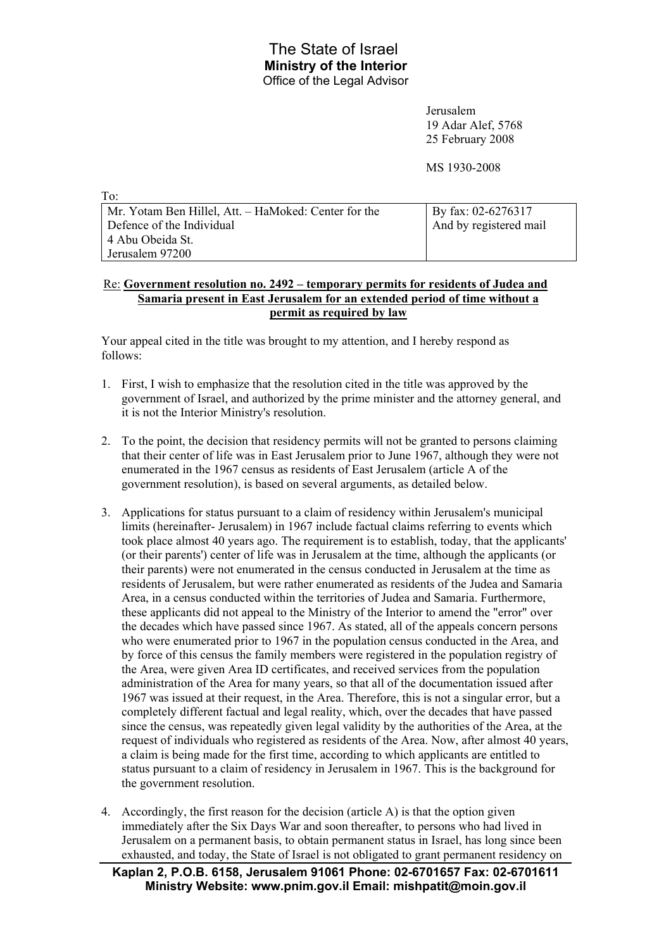## The State of Israel **Ministry of the Interior** Office of the Legal Advisor

Jerusalem 19 Adar Alef, 5768 25 February 2008

MS 1930-2008

| - 1 O .                                              |                            |
|------------------------------------------------------|----------------------------|
| Mr. Yotam Ben Hillel, Att. – HaMoked: Center for the | $\vert$ By fax: 02-6276317 |
| Defence of the Individual                            | And by registered mail     |
| 4 Abu Obeida St.                                     |                            |
| Jerusalem 97200                                      |                            |

## Re: **Government resolution no. 2492 – temporary permits for residents of Judea and Samaria present in East Jerusalem for an extended period of time without a permit as required by law**

Your appeal cited in the title was brought to my attention, and I hereby respond as follows:

 $T_{\alpha}$ .

- 1. First, I wish to emphasize that the resolution cited in the title was approved by the government of Israel, and authorized by the prime minister and the attorney general, and it is not the Interior Ministry's resolution.
- 2. To the point, the decision that residency permits will not be granted to persons claiming that their center of life was in East Jerusalem prior to June 1967, although they were not enumerated in the 1967 census as residents of East Jerusalem (article A of the government resolution), is based on several arguments, as detailed below.
- 3. Applications for status pursuant to a claim of residency within Jerusalem's municipal limits (hereinafter- Jerusalem) in 1967 include factual claims referring to events which took place almost 40 years ago. The requirement is to establish, today, that the applicants' (or their parents') center of life was in Jerusalem at the time, although the applicants (or their parents) were not enumerated in the census conducted in Jerusalem at the time as residents of Jerusalem, but were rather enumerated as residents of the Judea and Samaria Area, in a census conducted within the territories of Judea and Samaria. Furthermore, these applicants did not appeal to the Ministry of the Interior to amend the "error" over the decades which have passed since 1967. As stated, all of the appeals concern persons who were enumerated prior to 1967 in the population census conducted in the Area, and by force of this census the family members were registered in the population registry of the Area, were given Area ID certificates, and received services from the population administration of the Area for many years, so that all of the documentation issued after 1967 was issued at their request, in the Area. Therefore, this is not a singular error, but a completely different factual and legal reality, which, over the decades that have passed since the census, was repeatedly given legal validity by the authorities of the Area, at the request of individuals who registered as residents of the Area. Now, after almost 40 years, a claim is being made for the first time, according to which applicants are entitled to status pursuant to a claim of residency in Jerusalem in 1967. This is the background for the government resolution.
- 4. Accordingly, the first reason for the decision (article A) is that the option given immediately after the Six Days War and soon thereafter, to persons who had lived in Jerusalem on a permanent basis, to obtain permanent status in Israel, has long since been exhausted, and today, the State of Israel is not obligated to grant permanent residency on

**Kaplan 2, P.O.B. 6158, Jerusalem 91061 Phone: 02-6701657 Fax: 02-6701611 Ministry Website: www.pnim.gov.il Email: mishpatit@moin.gov.il**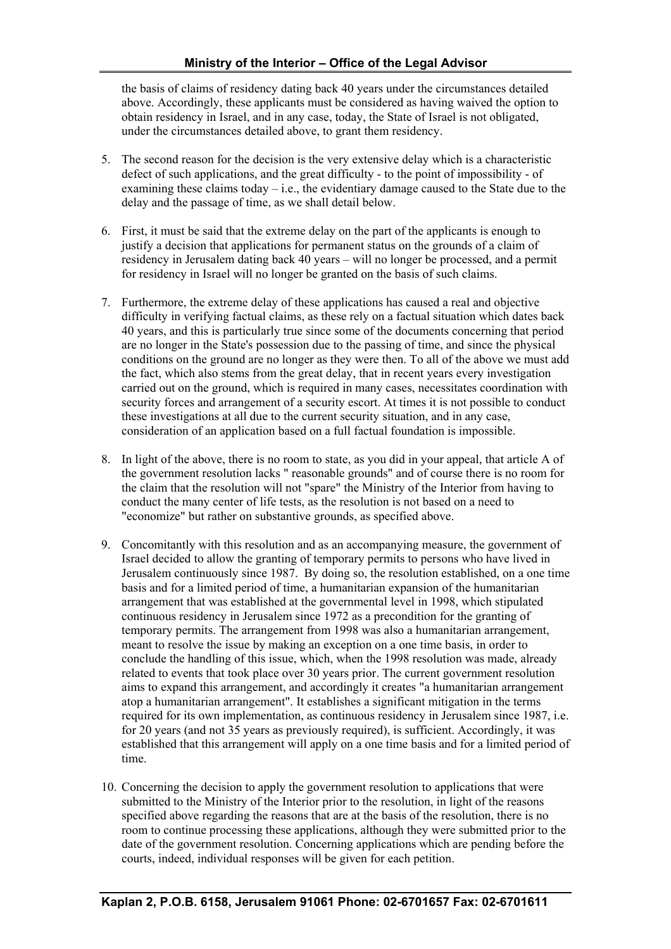the basis of claims of residency dating back 40 years under the circumstances detailed above. Accordingly, these applicants must be considered as having waived the option to obtain residency in Israel, and in any case, today, the State of Israel is not obligated, under the circumstances detailed above, to grant them residency.

- 5. The second reason for the decision is the very extensive delay which is a characteristic defect of such applications, and the great difficulty - to the point of impossibility - of examining these claims today – i.e., the evidentiary damage caused to the State due to the delay and the passage of time, as we shall detail below.
- 6. First, it must be said that the extreme delay on the part of the applicants is enough to justify a decision that applications for permanent status on the grounds of a claim of residency in Jerusalem dating back 40 years – will no longer be processed, and a permit for residency in Israel will no longer be granted on the basis of such claims.
- 7. Furthermore, the extreme delay of these applications has caused a real and objective difficulty in verifying factual claims, as these rely on a factual situation which dates back 40 years, and this is particularly true since some of the documents concerning that period are no longer in the State's possession due to the passing of time, and since the physical conditions on the ground are no longer as they were then. To all of the above we must add the fact, which also stems from the great delay, that in recent years every investigation carried out on the ground, which is required in many cases, necessitates coordination with security forces and arrangement of a security escort. At times it is not possible to conduct these investigations at all due to the current security situation, and in any case, consideration of an application based on a full factual foundation is impossible.
- 8. In light of the above, there is no room to state, as you did in your appeal, that article A of the government resolution lacks " reasonable grounds" and of course there is no room for the claim that the resolution will not "spare" the Ministry of the Interior from having to conduct the many center of life tests, as the resolution is not based on a need to "economize" but rather on substantive grounds, as specified above.
- 9. Concomitantly with this resolution and as an accompanying measure, the government of Israel decided to allow the granting of temporary permits to persons who have lived in Jerusalem continuously since 1987. By doing so, the resolution established, on a one time basis and for a limited period of time, a humanitarian expansion of the humanitarian arrangement that was established at the governmental level in 1998, which stipulated continuous residency in Jerusalem since 1972 as a precondition for the granting of temporary permits. The arrangement from 1998 was also a humanitarian arrangement, meant to resolve the issue by making an exception on a one time basis, in order to conclude the handling of this issue, which, when the 1998 resolution was made, already related to events that took place over 30 years prior. The current government resolution aims to expand this arrangement, and accordingly it creates "a humanitarian arrangement atop a humanitarian arrangement". It establishes a significant mitigation in the terms required for its own implementation, as continuous residency in Jerusalem since 1987, i.e. for 20 years (and not 35 years as previously required), is sufficient. Accordingly, it was established that this arrangement will apply on a one time basis and for a limited period of time.
- 10. Concerning the decision to apply the government resolution to applications that were submitted to the Ministry of the Interior prior to the resolution, in light of the reasons specified above regarding the reasons that are at the basis of the resolution, there is no room to continue processing these applications, although they were submitted prior to the date of the government resolution. Concerning applications which are pending before the courts, indeed, individual responses will be given for each petition.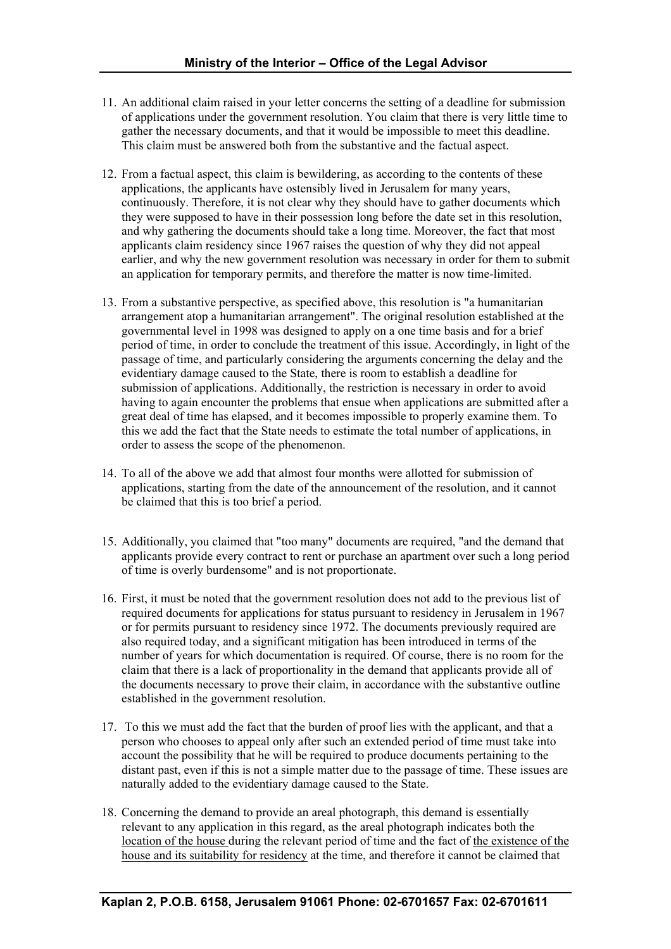- 11. An additional claim raised in your letter concerns the setting of a deadline for submission of applications under the government resolution. You claim that there is very little time to gather the necessary documents, and that it would be impossible to meet this deadline. This claim must be answered both from the substantive and the factual aspect.
- 12. From a factual aspect, this claim is bewildering, as according to the contents of these applications, the applicants have ostensibly lived in Jerusalem for many years, continuously. Therefore, it is not clear why they should have to gather documents which they were supposed to have in their possession long before the date set in this resolution, and why gathering the documents should take a long time. Moreover, the fact that most applicants claim residency since 1967 raises the question of why they did not appeal earlier, and why the new government resolution was necessary in order for them to submit an application for temporary permits, and therefore the matter is now time-limited.
- 13. From a substantive perspective, as specified above, this resolution is "a humanitarian arrangement atop a humanitarian arrangement". The original resolution established at the governmental level in 1998 was designed to apply on a one time basis and for a brief period of time, in order to conclude the treatment of this issue. Accordingly, in light of the passage of time, and particularly considering the arguments concerning the delay and the evidentiary damage caused to the State, there is room to establish a deadline for submission of applications. Additionally, the restriction is necessary in order to avoid having to again encounter the problems that ensue when applications are submitted after a great deal of time has elapsed, and it becomes impossible to properly examine them. To this we add the fact that the State needs to estimate the total number of applications, in order to assess the scope of the phenomenon.
- 14. To all of the above we add that almost four months were allotted for submission of applications, starting from the date of the announcement of the resolution, and it cannot be claimed that this is too brief a period.
- 15. Additionally, you claimed that "too many" documents are required, "and the demand that applicants provide every contract to rent or purchase an apartment over such a long period of time is overly burdensome" and is not proportionate.
- 16. First, it must be noted that the government resolution does not add to the previous list of required documents for applications for status pursuant to residency in Jerusalem in 1967 or for permits pursuant to residency since 1972. The documents previously required are also required today, and a significant mitigation has been introduced in terms of the number of years for which documentation is required. Of course, there is no room for the claim that there is a lack of proportionality in the demand that applicants provide all of the documents necessary to prove their claim, in accordance with the substantive outline established in the government resolution.
- 17. To this we must add the fact that the burden of proof lies with the applicant, and that a person who chooses to appeal only after such an extended period of time must take into account the possibility that he will be required to produce documents pertaining to the distant past, even if this is not a simple matter due to the passage of time. These issues are naturally added to the evidentiary damage caused to the State.
- 18. Concerning the demand to provide an areal photograph, this demand is essentially relevant to any application in this regard, as the areal photograph indicates both the location of the house during the relevant period of time and the fact of the existence of the house and its suitability for residency at the time, and therefore it cannot be claimed that